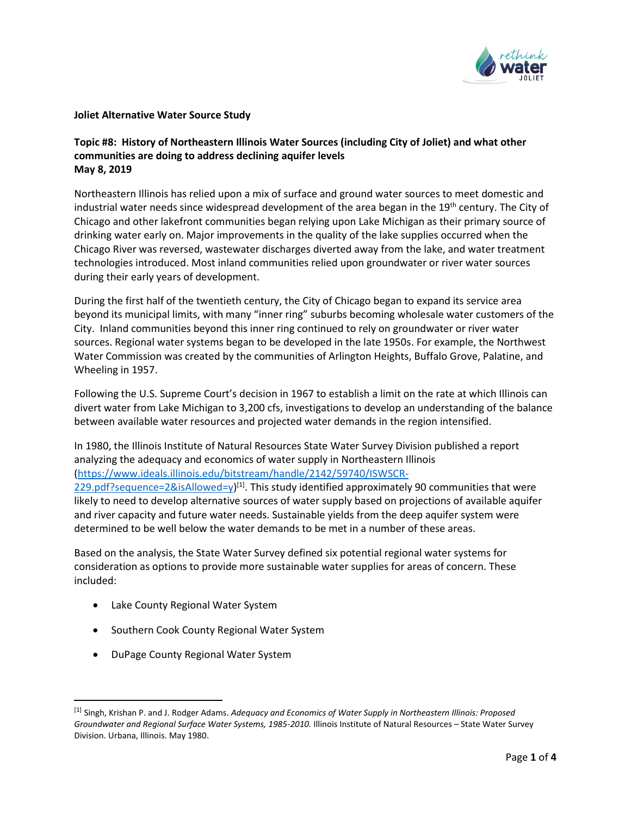

### **Joliet Alternative Water Source Study**

### **Topic #8: History of Northeastern Illinois Water Sources (including City of Joliet) and what other communities are doing to address declining aquifer levels May 8, 2019**

Northeastern Illinois has relied upon a mix of surface and ground water sources to meet domestic and industrial water needs since widespread development of the area began in the 19<sup>th</sup> century. The City of Chicago and other lakefront communities began relying upon Lake Michigan as their primary source of drinking water early on. Major improvements in the quality of the lake supplies occurred when the Chicago River was reversed, wastewater discharges diverted away from the lake, and water treatment technologies introduced. Most inland communities relied upon groundwater or river water sources during their early years of development.

During the first half of the twentieth century, the City of Chicago began to expand its service area beyond its municipal limits, with many "inner ring" suburbs becoming wholesale water customers of the City. Inland communities beyond this inner ring continued to rely on groundwater or river water sources. Regional water systems began to be developed in the late 1950s. For example, the Northwest Water Commission was created by the communities of Arlington Heights, Buffalo Grove, Palatine, and Wheeling in 1957.

Following the U.S. Supreme Court's decision in 1967 to establish a limit on the rate at which Illinois can divert water from Lake Michigan to 3,200 cfs, investigations to develop an understanding of the balance between available water resources and projected water demands in the region intensified.

In 1980, the Illinois Institute of Natural Resources State Water Survey Division published a report analyzing the adequacy and economics of water supply in Northeastern Illinois [\(https://www.ideals.illinois.edu/bitstream/handle/2142/59740/ISWSCR-](https://url2.mailanyone.net/v1/?m=1hOVec-0002q1-63&i=57e1b682&c=tgJr7U9zfxO2cpSgo4l1xVCZAedVrK8KNzGnjlK8bQv6kwkcqCnfTRgSUGcP8FCPc4WaOPWDXSYzip9khTQCqNPKaw6Kl4Zu56lTE_Y6jikHbtOB_aMkUzVoKmq74uNx4udJkh8_nc-w1xoEgiVI4edPoeAMbg5Ua1_wswj9uR5Ki1jOjwgMmD131Yrn4e4Za2sc7UKQ-DBkKaF5hG_8BqdQM8Z3aeKHZH754dH8TZzJOBONK4YAhgMeVAIA4X1OVp6nGhRSQX46T3XkcDpMUA5z3NMslLBAsMTGYBpIg8obos_LmcCuGAhrIEbUUgzW)

[229.pdf?sequence=2&isAllowed=y\)](https://url2.mailanyone.net/v1/?m=1hOVec-0002q1-63&i=57e1b682&c=tgJr7U9zfxO2cpSgo4l1xVCZAedVrK8KNzGnjlK8bQv6kwkcqCnfTRgSUGcP8FCPc4WaOPWDXSYzip9khTQCqNPKaw6Kl4Zu56lTE_Y6jikHbtOB_aMkUzVoKmq74uNx4udJkh8_nc-w1xoEgiVI4edPoeAMbg5Ua1_wswj9uR5Ki1jOjwgMmD131Yrn4e4Za2sc7UKQ-DBkKaF5hG_8BqdQM8Z3aeKHZH754dH8TZzJOBONK4YAhgMeVAIA4X1OVp6nGhRSQX46T3XkcDpMUA5z3NMslLBAsMTGYBpIg8obos_LmcCuGAhrIEbUUgzW)<sup>[1]</sup>. This study identified approximately 90 communities that were likely to need to develop alternative sources of water supply based on projections of available aquifer and river capacity and future water needs. Sustainable yields from the deep aquifer system were determined to be well below the water demands to be met in a number of these areas.

Based on the analysis, the State Water Survey defined six potential regional water systems for consideration as options to provide more sustainable water supplies for areas of concern. These included:

- Lake County Regional Water System
- Southern Cook County Regional Water System
- DuPage County Regional Water System

l

<sup>[1]</sup> Singh, Krishan P. and J. Rodger Adams. *Adequacy and Economics of Water Supply in Northeastern Illinois: Proposed Groundwater and Regional Surface Water Systems, 1985-2010.* Illinois Institute of Natural Resources – State Water Survey Division. Urbana, Illinois. May 1980.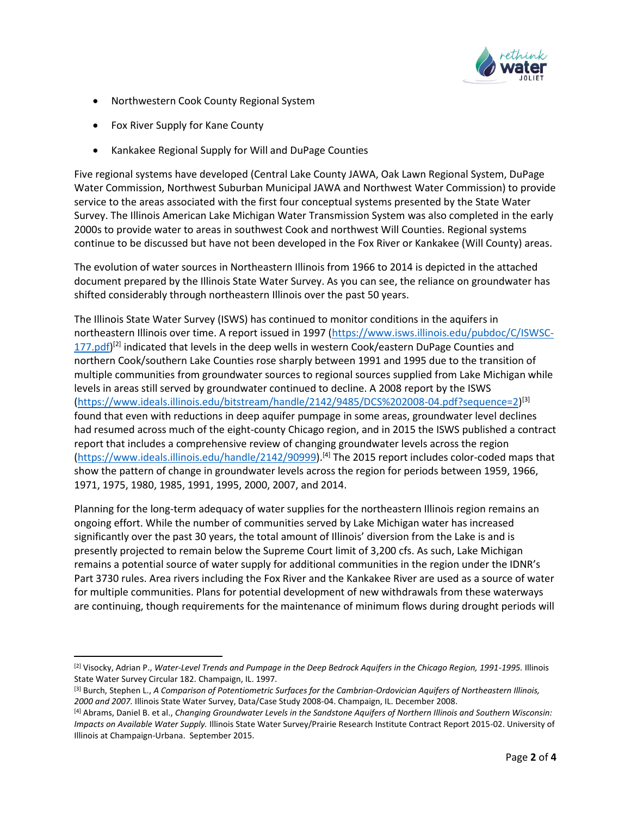

- Northwestern Cook County Regional System
- Fox River Supply for Kane County

 $\overline{\phantom{a}}$ 

• Kankakee Regional Supply for Will and DuPage Counties

Five regional systems have developed (Central Lake County JAWA, Oak Lawn Regional System, DuPage Water Commission, Northwest Suburban Municipal JAWA and Northwest Water Commission) to provide service to the areas associated with the first four conceptual systems presented by the State Water Survey. The Illinois American Lake Michigan Water Transmission System was also completed in the early 2000s to provide water to areas in southwest Cook and northwest Will Counties. Regional systems continue to be discussed but have not been developed in the Fox River or Kankakee (Will County) areas.

The evolution of water sources in Northeastern Illinois from 1966 to 2014 is depicted in the attached document prepared by the Illinois State Water Survey. As you can see, the reliance on groundwater has shifted considerably through northeastern Illinois over the past 50 years.

The Illinois State Water Survey (ISWS) has continued to monitor conditions in the aquifers in northeastern Illinois over time. A report issued in 1997 [\(https://www.isws.illinois.edu/pubdoc/C/ISWSC-](https://url2.mailanyone.net/v1/?m=1hOVec-0002q1-63&i=57e1b682&c=wmBq41ENbc2BunMUOP-RDN76JTlWw9ERwau68jxy9EyPkHY-1oFn0xfEZAnJYdov3UiXzGJj7S4BOGT3oCR0w4OO4UwX3qR5Dh7j9HHF87dRxL1OpgQDGXExHIt95OVeztXO3egjWT1T7w0EE3zoGd8NcmGVKHIvKjM5AriJKOpVqDuomEBnm9B8l8YxrZ7wD8EcegaeL9mt0IMCrxcQ2_HzdvMz_2S-SJOkiE5HPDGljDWtBgS7efiSABRsVEJ6dWWdaVFgW7DGz7OPEL6DVA)[177.pdf\)](https://url2.mailanyone.net/v1/?m=1hOVec-0002q1-63&i=57e1b682&c=wmBq41ENbc2BunMUOP-RDN76JTlWw9ERwau68jxy9EyPkHY-1oFn0xfEZAnJYdov3UiXzGJj7S4BOGT3oCR0w4OO4UwX3qR5Dh7j9HHF87dRxL1OpgQDGXExHIt95OVeztXO3egjWT1T7w0EE3zoGd8NcmGVKHIvKjM5AriJKOpVqDuomEBnm9B8l8YxrZ7wD8EcegaeL9mt0IMCrxcQ2_HzdvMz_2S-SJOkiE5HPDGljDWtBgS7efiSABRsVEJ6dWWdaVFgW7DGz7OPEL6DVA)<sup>[2]</sup> indicated that levels in the deep wells in western Cook/eastern DuPage Counties and northern Cook/southern Lake Counties rose sharply between 1991 and 1995 due to the transition of multiple communities from groundwater sources to regional sources supplied from Lake Michigan while levels in areas still served by groundwater continued to decline. A 2008 report by the ISWS [\(https://www.ideals.illinois.edu/bitstream/handle/2142/9485/DCS%202008-04.pdf?sequence=2\)](https://url2.mailanyone.net/v1/?m=1hOVec-0002q1-63&i=57e1b682&c=_ie7yzyKfEDZuA6Z69pqow8sODXfNhmjKhZr0zO3AboPEbceMzCwtMusyL7hhQO8fj4GNodKD3VT8q7CL_3CkZxPZq2246Cn-WdRl7ZSe0UArW_5MyJMnodTFSk-kE2A2z8pq_xgISoQ-ftgtOLTDlpDsPu-hHaBW2AdoFE1ROiFAJHM4ToAJzFLoA5aaS9hEa412XzSW6IE7rM-4SmI0xmciK7ceCnXaeWrJ23VXjN9QrL-Nj976C6P_gLxpj4cpTT9e7iyzOHALXKSS2kusN3_-a0BotvWOP-Fp033GJricastB9xmg3czvVBeUBZy) [3] found that even with reductions in deep aquifer pumpage in some areas, groundwater level declines had resumed across much of the eight-county Chicago region, and in 2015 the ISWS published a contract report that includes a comprehensive review of changing groundwater levels across the region [\(https://www.ideals.illinois.edu/handle/2142/90999\)](https://url2.mailanyone.net/v1/?m=1hOVec-0002q1-63&i=57e1b682&c=4c9sykS0QhJqXYPGZUGALojxKdJoKgiCKjxfcuUB601YlLmi7Qr46d3bLGQYsH1BuTzPtiN5f3ls0b-gAJze2AI9dwJH_v7-L2AitQGEZd_NLZ1C4qN-cFYW0iab0X8nksLNQVp7yww_LpcQLtW57-iJqWf99MVLxfk5in7ynfV5IIREfBSMdNVVkPau18AL-avse3TOrX3N2VEuUBl1kUdRbdqEASgNfSGNHnikcHk7EEjS8Nls4VgbDxFenikt).[4] The 2015 report includes color-coded maps that show the pattern of change in groundwater levels across the region for periods between 1959, 1966, 1971, 1975, 1980, 1985, 1991, 1995, 2000, 2007, and 2014.

Planning for the long-term adequacy of water supplies for the northeastern Illinois region remains an ongoing effort. While the number of communities served by Lake Michigan water has increased significantly over the past 30 years, the total amount of Illinois' diversion from the Lake is and is presently projected to remain below the Supreme Court limit of 3,200 cfs. As such, Lake Michigan remains a potential source of water supply for additional communities in the region under the IDNR's Part 3730 rules. Area rivers including the Fox River and the Kankakee River are used as a source of water for multiple communities. Plans for potential development of new withdrawals from these waterways are continuing, though requirements for the maintenance of minimum flows during drought periods will

<sup>[2]</sup> Visocky, Adrian P., *Water-Level Trends and Pumpage in the Deep Bedrock Aquifers in the Chicago Region, 1991-1995.* Illinois State Water Survey Circular 182. Champaign, IL. 1997.

<sup>[3]</sup> Burch, Stephen L., *A Comparison of Potentiometric Surfaces for the Cambrian-Ordovician Aquifers of Northeastern Illinois, 2000 and 2007.* Illinois State Water Survey, Data/Case Study 2008-04. Champaign, IL. December 2008.

<sup>[4]</sup> Abrams, Daniel B. et al., *Changing Groundwater Levels in the Sandstone Aquifers of Northern Illinois and Southern Wisconsin: Impacts on Available Water Supply.* Illinois State Water Survey/Prairie Research Institute Contract Report 2015-02. University of Illinois at Champaign-Urbana. September 2015.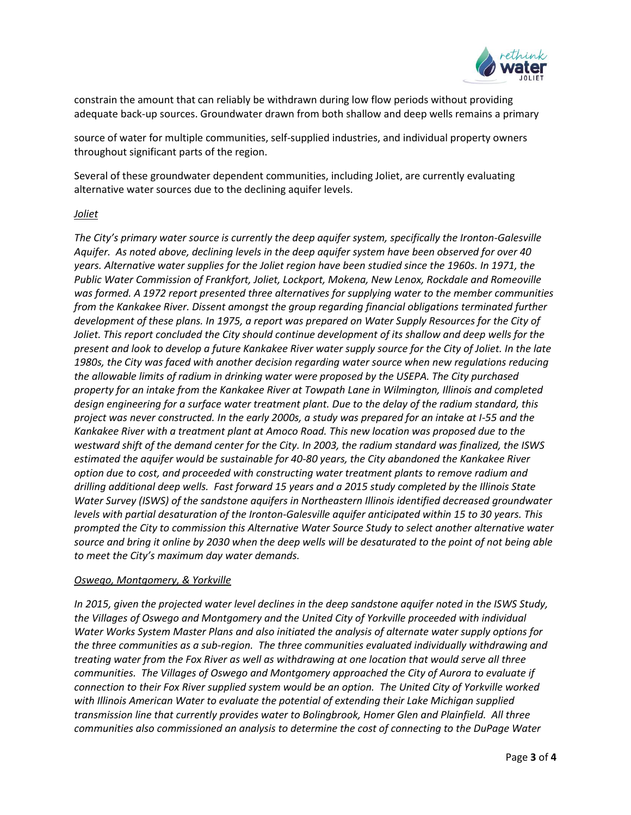

constrain the amount that can reliably be withdrawn during low flow periods without providing adequate back-up sources. Groundwater drawn from both shallow and deep wells remains a primary

source of water for multiple communities, self-supplied industries, and individual property owners throughout significant parts of the region.

Several of these groundwater dependent communities, including Joliet, are currently evaluating alternative water sources due to the declining aquifer levels.

#### *Joliet*

*The City's primary water source is currently the deep aquifer system, specifically the Ironton-Galesville Aquifer. As noted above, declining levels in the deep aquifer system have been observed for over 40 years. Alternative water supplies for the Joliet region have been studied since the 1960s. In 1971, the Public Water Commission of Frankfort, Joliet, Lockport, Mokena, New Lenox, Rockdale and Romeoville was formed. A 1972 report presented three alternatives for supplying water to the member communities from the Kankakee River. Dissent amongst the group regarding financial obligations terminated further development of these plans. In 1975, a report was prepared on Water Supply Resources for the City of Joliet. This report concluded the City should continue development of its shallow and deep wells for the present and look to develop a future Kankakee River water supply source for the City of Joliet. In the late 1980s, the City was faced with another decision regarding water source when new regulations reducing the allowable limits of radium in drinking water were proposed by the USEPA. The City purchased property for an intake from the Kankakee River at Towpath Lane in Wilmington, Illinois and completed design engineering for a surface water treatment plant. Due to the delay of the radium standard, this project was never constructed. In the early 2000s, a study was prepared for an intake at I-55 and the Kankakee River with a treatment plant at Amoco Road. This new location was proposed due to the westward shift of the demand center for the City. In 2003, the radium standard was finalized, the ISWS estimated the aquifer would be sustainable for 40-80 years, the City abandoned the Kankakee River option due to cost, and proceeded with constructing water treatment plants to remove radium and drilling additional deep wells. Fast forward 15 years and a 2015 study completed by the Illinois State Water Survey (ISWS) of the sandstone aquifers in Northeastern Illinois identified decreased groundwater levels with partial desaturation of the Ironton-Galesville aquifer anticipated within 15 to 30 years. This prompted the City to commission this Alternative Water Source Study to select another alternative water source and bring it online by 2030 when the deep wells will be desaturated to the point of not being able to meet the City's maximum day water demands.*

#### *Oswego, Montgomery, & Yorkville*

*In 2015, given the projected water level declines in the deep sandstone aquifer noted in the ISWS Study, the Villages of Oswego and Montgomery and the United City of Yorkville proceeded with individual Water Works System Master Plans and also initiated the analysis of alternate water supply options for the three communities as a sub-region. The three communities evaluated individually withdrawing and treating water from the Fox River as well as withdrawing at one location that would serve all three communities. The Villages of Oswego and Montgomery approached the City of Aurora to evaluate if connection to their Fox River supplied system would be an option. The United City of Yorkville worked with Illinois American Water to evaluate the potential of extending their Lake Michigan supplied transmission line that currently provides water to Bolingbrook, Homer Glen and Plainfield. All three communities also commissioned an analysis to determine the cost of connecting to the DuPage Water*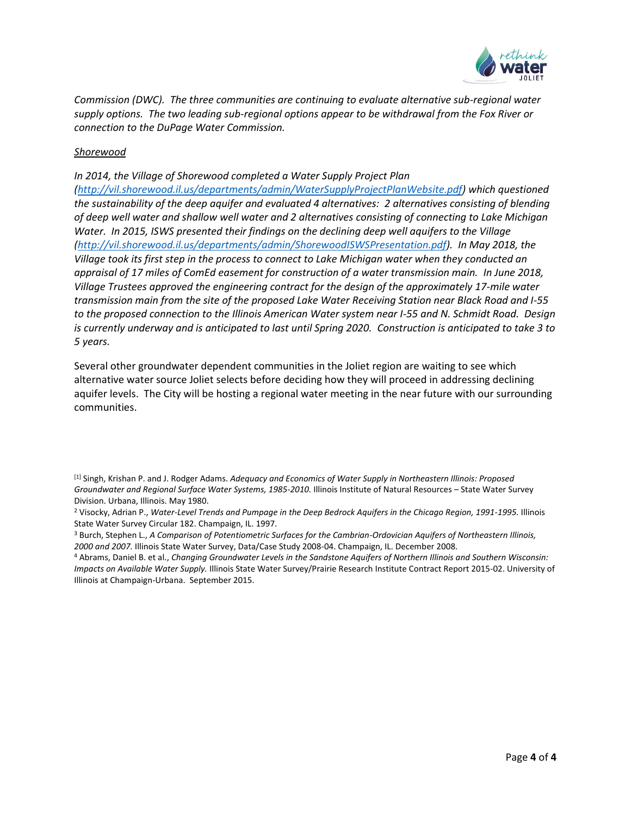

*Commission (DWC). The three communities are continuing to evaluate alternative sub-regional water supply options. The two leading sub-regional options appear to be withdrawal from the Fox River or connection to the DuPage Water Commission.*

### *Shorewood*

*In 2014, the Village of Shorewood completed a Water Supply Project Plan* 

*[\(http://vil.shorewood.il.us/departments/admin/WaterSupplyProjectPlanWebsite.pdf\)](https://url2.mailanyone.net/v1/?m=1hOVec-0002q1-63&i=57e1b682&c=4ZX809hPuc_Nr_RYPh8x7OA8WUe57k-jDele2tnUUIhWU88HEBVIHmiEkoLRqS_s-K2USPbu8uE-8kdpHsUWQUvVqJ2_DQIkdffszxgUghJRfZz5QVaCIst1GGy_PnK6XEPjvIJEVCo2_tZlxAiUlqM0i8s98FqsSOv4FYBElj-TG1NxV_BzUA1PXV3I39HzAAcvp2o-XC3iwmVGkmV5h7suSqbkvpLq-Q01vzYwIshaji53q9A-ydS6PwLRMDMvOX7e-aP_qm3N0tKCYfECuyf0MBvHsUIJZzuMfWPdEL4) which questioned the sustainability of the deep aquifer and evaluated 4 alternatives: 2 alternatives consisting of blending of deep well water and shallow well water and 2 alternatives consisting of connecting to Lake Michigan Water. In 2015, ISWS presented their findings on the declining deep well aquifers to the Village [\(http://vil.shorewood.il.us/departments/admin/ShorewoodISWSPresentation.pdf\)](https://url2.mailanyone.net/v1/?m=1hOVec-0002q1-63&i=57e1b682&c=EK3FNhLRC6M1ov1IOeURD-c7812M-9PAt4JbR5mLjj2kuMh8g6U6SqNJYkgOCKrYzSMbRWLqfo_XM5-C_ZeY9nd9s2vWQaJVBNpntyrqGnrpZUDph0NALFGDunVPRMzp4C8HXhzSSC0NjIBQdLebBN5dY6oyEdzHW-FF3ucGrlbHLlCNXn4DQDohsFdNdrkazP0wIl0n1UYAPGyxO4y4aZvQfmAML8SqYx9xeoRzU1RsM6RzXEehFxnJDeHakykjcP1f-gpo-Ckb-4GfQfh2Gp9bfzzG7IaASLAhDxs8QZk). In May 2018, the Village took its first step in the process to connect to Lake Michigan water when they conducted an appraisal of 17 miles of ComEd easement for construction of a water transmission main. In June 2018, Village Trustees approved the engineering contract for the design of the approximately 17-mile water transmission main from the site of the proposed Lake Water Receiving Station near Black Road and I-55 to the proposed connection to the Illinois American Water system near I-55 and N. Schmidt Road. Design is currently underway and is anticipated to last until Spring 2020. Construction is anticipated to take 3 to 5 years.*

Several other groundwater dependent communities in the Joliet region are waiting to see which alternative water source Joliet selects before deciding how they will proceed in addressing declining aquifer levels. The City will be hosting a regional water meeting in the near future with our surrounding communities.

<sup>4</sup> Abrams, Daniel B. et al., *Changing Groundwater Levels in the Sandstone Aquifers of Northern Illinois and Southern Wisconsin: Impacts on Available Water Supply.* Illinois State Water Survey/Prairie Research Institute Contract Report 2015-02. University of Illinois at Champaign-Urbana. September 2015.

<sup>[1]</sup> Singh, Krishan P. and J. Rodger Adams. *Adequacy and Economics of Water Supply in Northeastern Illinois: Proposed Groundwater and Regional Surface Water Systems, 1985-2010.* Illinois Institute of Natural Resources – State Water Survey Division. Urbana, Illinois. May 1980.

<sup>2</sup> Visocky, Adrian P., *Water-Level Trends and Pumpage in the Deep Bedrock Aquifers in the Chicago Region, 1991-1995.* Illinois State Water Survey Circular 182. Champaign, IL. 1997.

<sup>3</sup> Burch, Stephen L., *A Comparison of Potentiometric Surfaces for the Cambrian-Ordovician Aquifers of Northeastern Illinois, 2000 and 2007.* Illinois State Water Survey, Data/Case Study 2008-04. Champaign, IL. December 2008.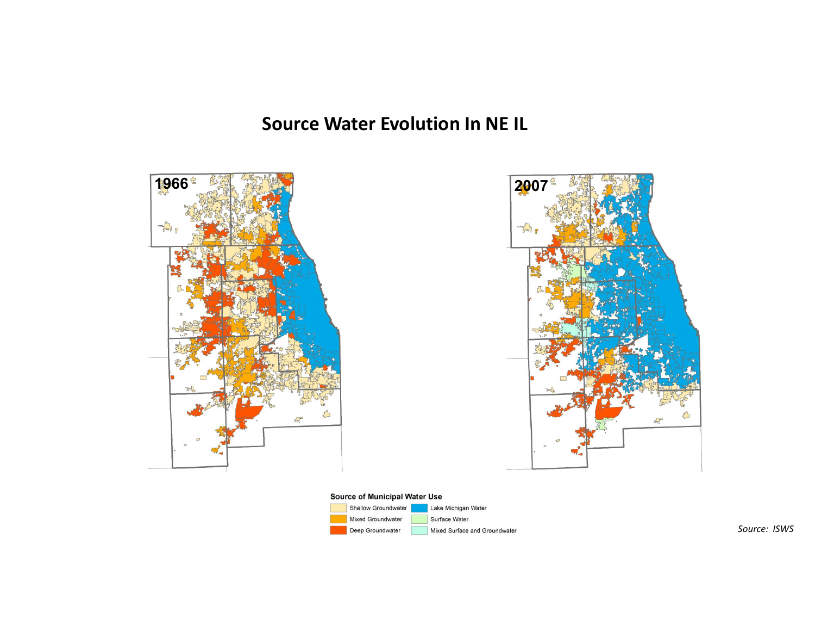# Source Water Evolution In NE IL





#### Source of Municipal Water Use